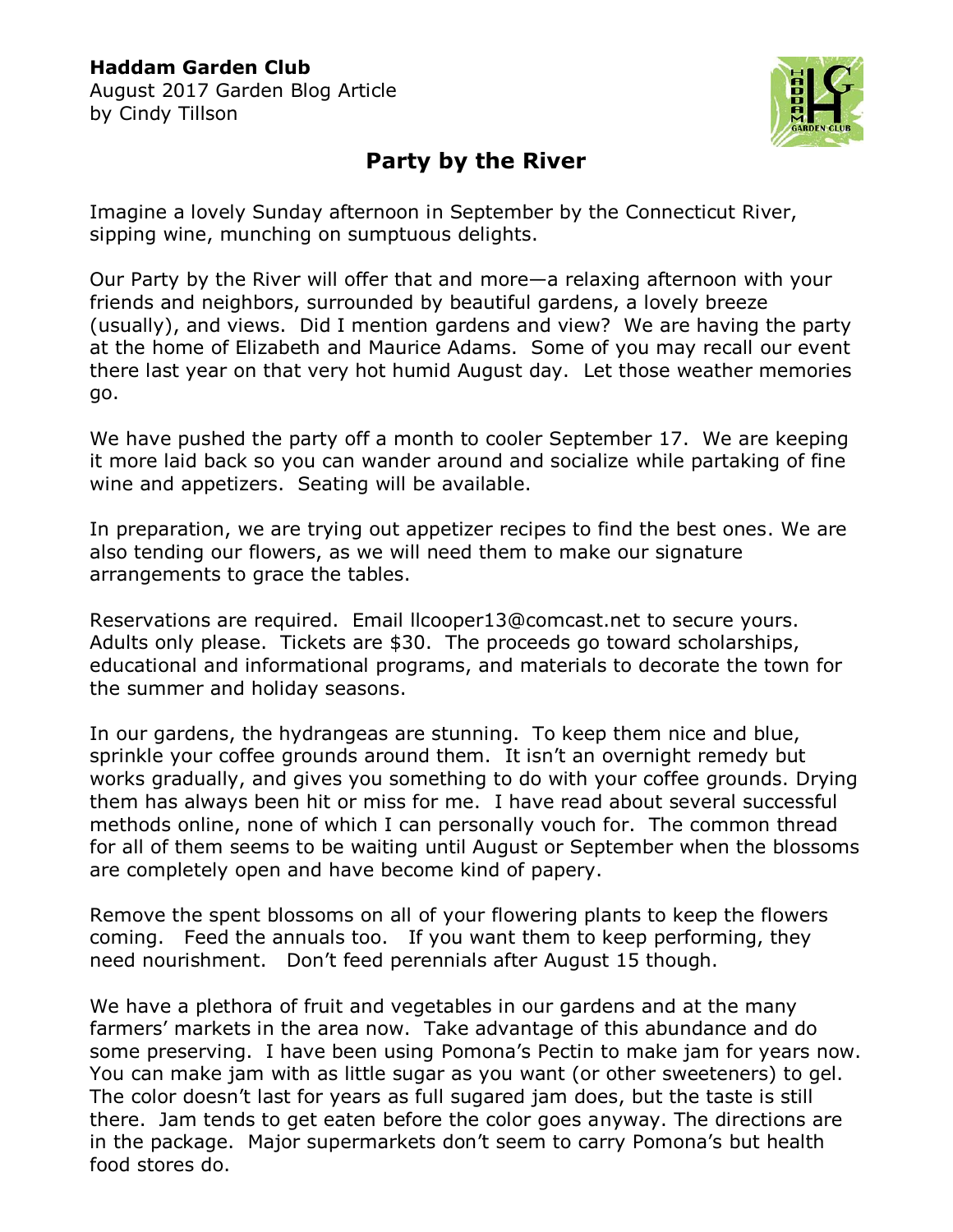August 2017 Garden Blog Article by Cindy Tillson



## **Party by the River**

Imagine a lovely Sunday afternoon in September by the Connecticut River, sipping wine, munching on sumptuous delights.

Our Party by the River will offer that and more—a relaxing afternoon with your friends and neighbors, surrounded by beautiful gardens, a lovely breeze (usually), and views. Did I mention gardens and view? We are having the party at the home of Elizabeth and Maurice Adams. Some of you may recall our event there last year on that very hot humid August day. Let those weather memories go.

We have pushed the party off a month to cooler September 17. We are keeping it more laid back so you can wander around and socialize while partaking of fine wine and appetizers. Seating will be available.

In preparation, we are trying out appetizer recipes to find the best ones. We are also tending our flowers, as we will need them to make our signature arrangements to grace the tables.

Reservations are required. Email [llcooper13@comcast.net](mailto:llcooper13@comcast.net) to secure yours. Adults only please. Tickets are \$30. The proceeds go toward scholarships, educational and informational programs, and materials to decorate the town for the summer and holiday seasons.

In our gardens, the hydrangeas are stunning. To keep them nice and blue, sprinkle your coffee grounds around them. It isn't an overnight remedy but works gradually, and gives you something to do with your coffee grounds. Drying them has always been hit or miss for me. I have read about several successful methods online, none of which I can personally vouch for. The common thread for all of them seems to be waiting until August or September when the blossoms are completely open and have become kind of papery.

Remove the spent blossoms on all of your flowering plants to keep the flowers coming. Feed the annuals too. If you want them to keep performing, they need nourishment. Don't feed perennials after August 15 though.

We have a plethora of fruit and vegetables in our gardens and at the many farmers' markets in the area now. Take advantage of this abundance and do some preserving. I have been using Pomona's Pectin to make jam for years now. You can make jam with as little sugar as you want (or other sweeteners) to gel. The color doesn't last for years as full sugared jam does, but the taste is still there. Jam tends to get eaten before the color goes anyway. The directions are in the package. Major supermarkets don't seem to carry Pomona's but health food stores do.